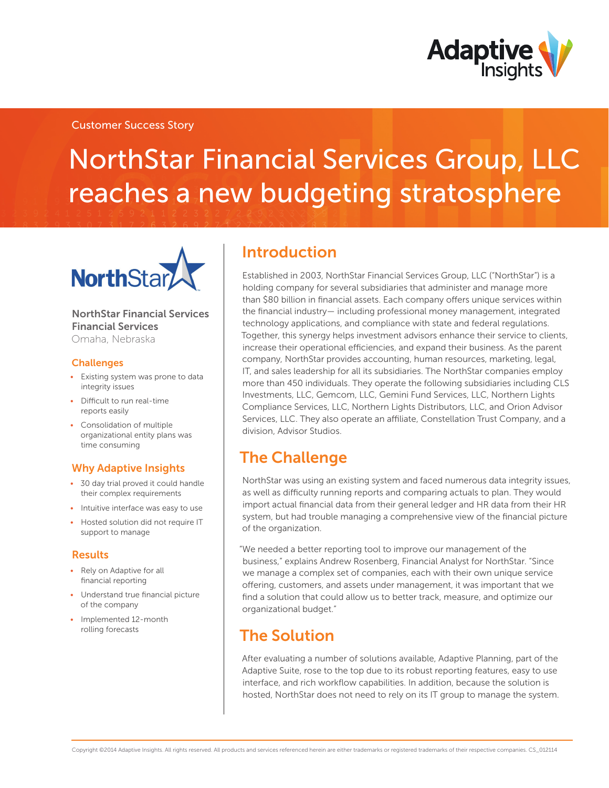

### Customer Success Story

# NorthStar Financial Services Group, LLC reaches a new budgeting stratosphere



NorthStar Financial Services Financial Services Omaha, Nebraska

#### **Challenges**

- Existing system was prone to data integrity issues
- • Difficult to run real-time reports easily
- • Consolidation of multiple organizational entity plans was time consuming

### Why Adaptive Insights

- • 30 day trial proved it could handle their complex requirements
- Intuitive interface was easy to use
- Hosted solution did not require IT support to manage

#### Results

- Rely on Adaptive for all financial reporting
- Understand true financial picture of the company
- Implemented 12-month rolling forecasts

### Introduction

Established in 2003, NorthStar Financial Services Group, LLC ("NorthStar") is a holding company for several subsidiaries that administer and manage more than \$80 billion in financial assets. Each company offers unique services within the financial industry— including professional money management, integrated technology applications, and compliance with state and federal regulations. Together, this synergy helps investment advisors enhance their service to clients, increase their operational efficiencies, and expand their business. As the parent company, NorthStar provides accounting, human resources, marketing, legal, IT, and sales leadership for all its subsidiaries. The NorthStar companies employ more than 450 individuals. They operate the following subsidiaries including CLS Investments, LLC, Gemcom, LLC, Gemini Fund Services, LLC, Northern Lights Compliance Services, LLC, Northern Lights Distributors, LLC, and Orion Advisor Services, LLC. They also operate an affiliate, Constellation Trust Company, and a division, Advisor Studios.

## The Challenge

NorthStar was using an existing system and faced numerous data integrity issues, as well as difficulty running reports and comparing actuals to plan. They would import actual financial data from their general ledger and HR data from their HR system, but had trouble managing a comprehensive view of the financial picture of the organization.

"We needed a better reporting tool to improve our management of the business," explains Andrew Rosenberg, Financial Analyst for NorthStar. "Since we manage a complex set of companies, each with their own unique service offering, customers, and assets under management, it was important that we find a solution that could allow us to better track, measure, and optimize our organizational budget."

## The Solution

After evaluating a number of solutions available, Adaptive Planning, part of the Adaptive Suite, rose to the top due to its robust reporting features, easy to use interface, and rich workflow capabilities. In addition, because the solution is hosted, NorthStar does not need to rely on its IT group to manage the system.